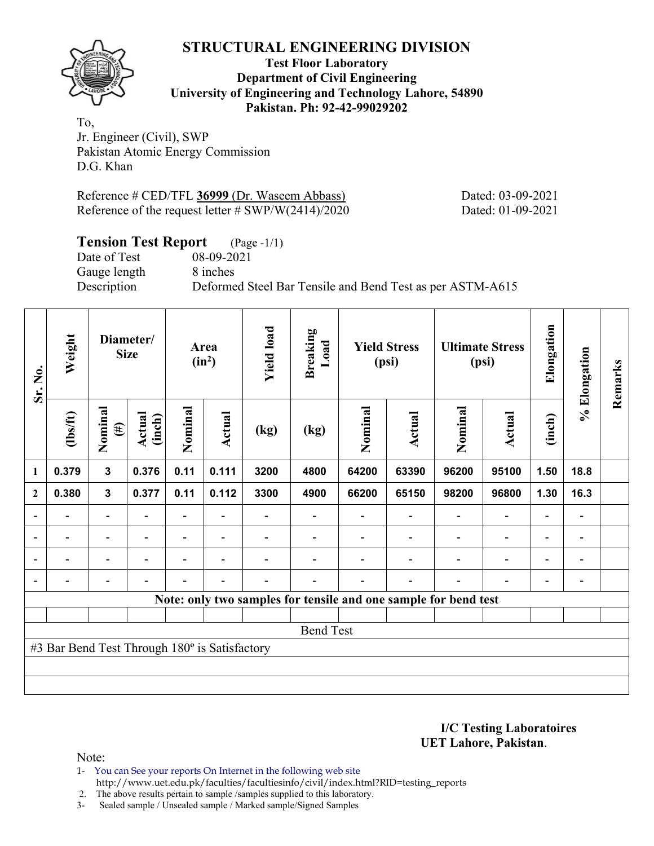**Test Floor Laboratory Department of Civil Engineering University of Engineering and Technology Lahore, 54890 Pakistan. Ph: 92-42-99029202** 

To, Jr. Engineer (Civil), SWP Pakistan Atomic Energy Commission D.G. Khan

Reference # CED/TFL **36999** (Dr. Waseem Abbass) Dated: 03-09-2021 Reference of the request letter # SWP/W(2414)/2020 Dated: 01-09-2021

# **Tension Test Report** (Page -1/1)

Date of Test 08-09-2021 Gauge length 8 inches

Description Deformed Steel Bar Tensile and Bend Test as per ASTM-A615

| Sr. No.        | Weight                                        |                          | Diameter/<br><b>Size</b> |                          | Area<br>$(in^2)$         | <b>Yield load</b> | <b>Breaking</b><br>Load |         | <b>Yield Stress</b><br>(psi) |                                                                 | <b>Ultimate Stress</b><br>(psi) | Elongation               | % Elongation   | Remarks |
|----------------|-----------------------------------------------|--------------------------|--------------------------|--------------------------|--------------------------|-------------------|-------------------------|---------|------------------------------|-----------------------------------------------------------------|---------------------------------|--------------------------|----------------|---------|
|                | (1bs/ft)                                      | Nominal<br>$(\#)$        | <b>Actual</b><br>(inch)  | Nominal                  | Actual                   | (kg)              | (kg)                    | Nominal | Actual                       | Nominal                                                         | Actual                          | (inch)                   |                |         |
| 1              | 0.379                                         | $\mathbf{3}$             | 0.376                    | 0.11                     | 0.111                    | 3200              | 4800                    | 64200   | 63390                        | 96200                                                           | 95100                           | 1.50                     | 18.8           |         |
| $\mathbf{2}$   | 0.380                                         | $\mathbf{3}$             | 0.377                    | 0.11                     | 0.112                    | 3300              | 4900                    | 66200   | 65150                        | 98200                                                           | 96800                           | 1.30                     | 16.3           |         |
| $\overline{a}$ |                                               | $\overline{\phantom{0}}$ |                          |                          |                          |                   |                         |         |                              |                                                                 | $\overline{\phantom{0}}$        | $\overline{\phantom{0}}$ |                |         |
| $\blacksquare$ | Ξ.                                            | $\overline{\phantom{a}}$ | $\overline{\phantom{a}}$ | Ξ.                       | $\blacksquare$           |                   |                         |         | $\overline{\phantom{a}}$     | $\blacksquare$                                                  | $\overline{\phantom{a}}$        | $\overline{\phantom{a}}$ | $\blacksquare$ |         |
|                | Ξ.                                            | $\overline{\phantom{0}}$ | ۰                        | $\blacksquare$           | $\overline{\phantom{0}}$ |                   |                         |         | ۰                            | $\blacksquare$                                                  | $\overline{\phantom{a}}$        | $\overline{\phantom{a}}$ | $\blacksquare$ |         |
| $\blacksquare$ |                                               | $\overline{\phantom{0}}$ | $\blacksquare$           | $\overline{\phantom{0}}$ | $\blacksquare$           | $\overline{a}$    |                         |         | $\overline{\phantom{0}}$     | $\overline{\phantom{0}}$                                        | $\overline{a}$                  | $\overline{\phantom{a}}$ | $\blacksquare$ |         |
|                |                                               |                          |                          |                          |                          |                   |                         |         |                              | Note: only two samples for tensile and one sample for bend test |                                 |                          |                |         |
|                |                                               |                          |                          |                          |                          |                   |                         |         |                              |                                                                 |                                 |                          |                |         |
|                |                                               |                          |                          |                          |                          |                   | <b>Bend Test</b>        |         |                              |                                                                 |                                 |                          |                |         |
|                | #3 Bar Bend Test Through 180° is Satisfactory |                          |                          |                          |                          |                   |                         |         |                              |                                                                 |                                 |                          |                |         |
|                |                                               |                          |                          |                          |                          |                   |                         |         |                              |                                                                 |                                 |                          |                |         |
|                |                                               |                          |                          |                          |                          |                   |                         |         |                              |                                                                 |                                 |                          |                |         |

**I/C Testing Laboratoires UET Lahore, Pakistan**.

Note:

- 1- You can See your reports On Internet in the following web site http://www.uet.edu.pk/faculties/facultiesinfo/civil/index.html?RID=testing\_reports
- 2. The above results pertain to sample /samples supplied to this laboratory.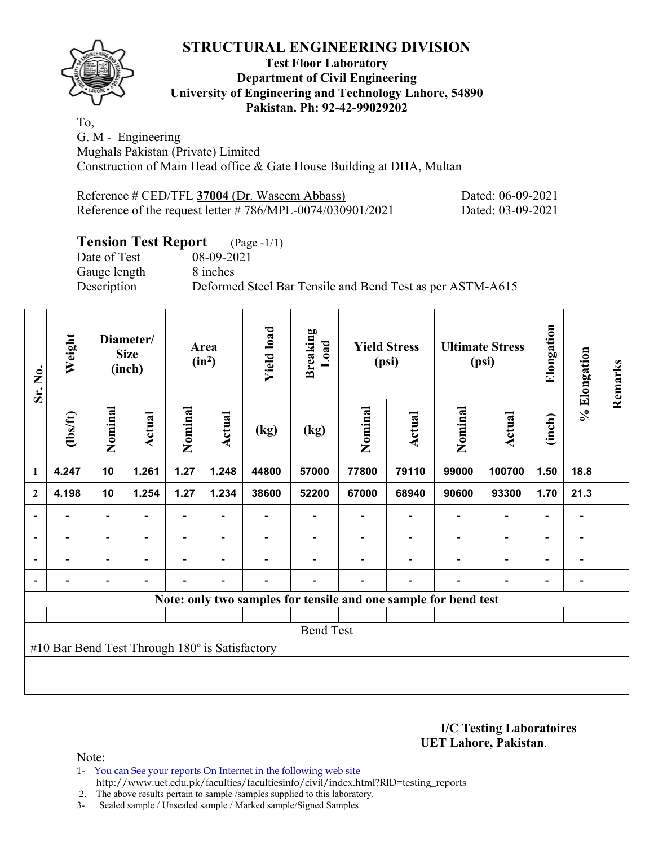

## **Test Floor Laboratory Department of Civil Engineering University of Engineering and Technology Lahore, 54890 Pakistan. Ph: 92-42-99029202**

To, G. M - Engineering Mughals Pakistan (Private) Limited Construction of Main Head office & Gate House Building at DHA, Multan

| Reference # CED/TFL 37004 (Dr. Waseem Abbass)                 | Dated: 06-09-2021 |
|---------------------------------------------------------------|-------------------|
| Reference of the request letter $\# 786/MPL-0074/030901/2021$ | Dated: 03-09-2021 |

# **Tension Test Report** (Page -1/1)

Date of Test 08-09-2021 Gauge length 8 inches

Description Deformed Steel Bar Tensile and Bend Test as per ASTM-A615

| Sr. No.                  | Weight                                         |                          | Diameter/<br><b>Size</b><br>(inch) |                          | Area<br>$(in^2)$         | <b>Yield load</b>        | <b>Breaking</b><br>Load |         | <b>Yield Stress</b><br>(psi)                                    |                          | <b>Ultimate Stress</b><br>(psi) | Elongation               | % Elongation             | Remarks |
|--------------------------|------------------------------------------------|--------------------------|------------------------------------|--------------------------|--------------------------|--------------------------|-------------------------|---------|-----------------------------------------------------------------|--------------------------|---------------------------------|--------------------------|--------------------------|---------|
|                          | (1bs/ft)                                       | Nominal                  | Actual                             | Nominal                  | Actual                   | (kg)                     | (kg)                    | Nominal | Actual                                                          | Nominal                  | <b>Actual</b>                   | (inch)                   |                          |         |
| 1                        | 4.247                                          | 10                       | 1.261                              | 1.27                     | 1.248                    | 44800                    | 57000                   | 77800   | 79110                                                           | 99000                    | 100700                          | 1.50                     | 18.8                     |         |
| $\mathbf{2}$             | 4.198                                          | 10                       | 1.254                              | 1.27                     | 1.234                    | 38600                    | 52200                   | 67000   | 68940                                                           | 90600                    | 93300                           | 1.70                     | 21.3                     |         |
| $\overline{a}$           |                                                | $\overline{\phantom{0}}$ |                                    |                          |                          |                          |                         |         |                                                                 |                          | $\overline{\phantom{0}}$        | $\blacksquare$           | $\overline{\phantom{a}}$ |         |
| $\overline{\phantom{a}}$ | $\qquad \qquad \blacksquare$                   | $\blacksquare$           | $\overline{\phantom{0}}$           | $\overline{\phantom{0}}$ | $\overline{\phantom{a}}$ |                          |                         |         | $\overline{\phantom{0}}$                                        | $\blacksquare$           | $\blacksquare$                  | $\overline{\phantom{0}}$ | $\overline{\phantom{a}}$ |         |
| $\blacksquare$           | $\blacksquare$                                 | $\overline{\phantom{0}}$ |                                    | $\blacksquare$           | $\blacksquare$           |                          |                         |         | $\blacksquare$                                                  | $\overline{\phantom{0}}$ | $\overline{\phantom{0}}$        | $\overline{\phantom{0}}$ | $\blacksquare$           |         |
|                          | -                                              | -                        | ۰                                  | $\blacksquare$           | $\blacksquare$           | $\overline{\phantom{0}}$ |                         |         | $\overline{\phantom{a}}$                                        | $\blacksquare$           | $\overline{\phantom{0}}$        | $\overline{\phantom{0}}$ | $\blacksquare$           |         |
|                          |                                                |                          |                                    |                          |                          |                          |                         |         | Note: only two samples for tensile and one sample for bend test |                          |                                 |                          |                          |         |
|                          |                                                |                          |                                    |                          |                          |                          |                         |         |                                                                 |                          |                                 |                          |                          |         |
|                          |                                                |                          |                                    |                          |                          |                          | <b>Bend Test</b>        |         |                                                                 |                          |                                 |                          |                          |         |
|                          | #10 Bar Bend Test Through 180° is Satisfactory |                          |                                    |                          |                          |                          |                         |         |                                                                 |                          |                                 |                          |                          |         |
|                          |                                                |                          |                                    |                          |                          |                          |                         |         |                                                                 |                          |                                 |                          |                          |         |
|                          |                                                |                          |                                    |                          |                          |                          |                         |         |                                                                 |                          |                                 |                          |                          |         |

**I/C Testing Laboratoires UET Lahore, Pakistan**.

Note:

1- You can See your reports On Internet in the following web site http://www.uet.edu.pk/faculties/facultiesinfo/civil/index.html?RID=testing\_reports

2. The above results pertain to sample /samples supplied to this laboratory.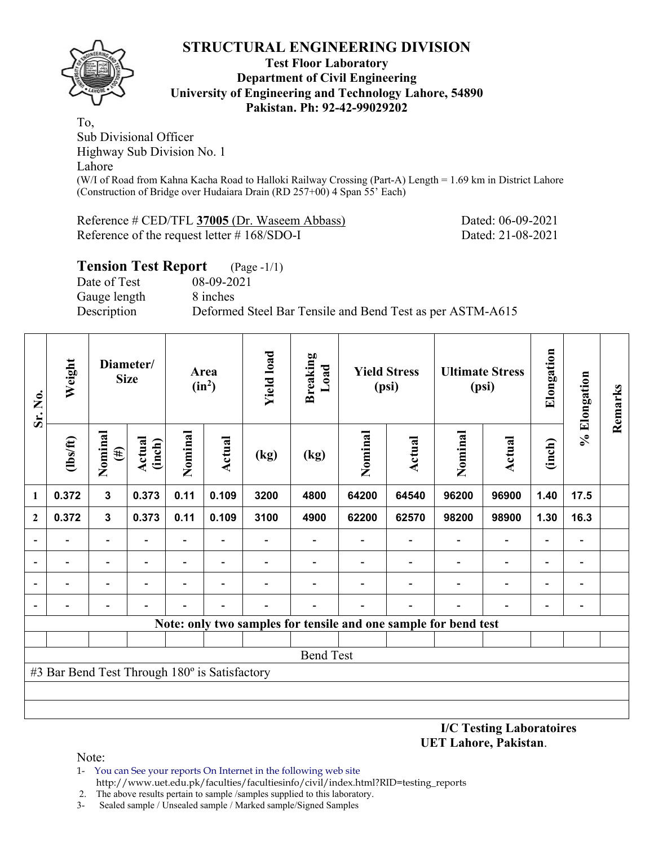### **Test Floor Laboratory Department of Civil Engineering University of Engineering and Technology Lahore, 54890 Pakistan. Ph: 92-42-99029202**

To, Sub Divisional Officer Highway Sub Division No. 1 Lahore (W/I of Road from Kahna Kacha Road to Halloki Railway Crossing (Part-A) Length = 1.69 km in District Lahore (Construction of Bridge over Hudaiara Drain (RD 257+00) 4 Span 55' Each)

Reference # CED/TFL **37005** (Dr. Waseem Abbass) Dated: 06-09-2021 Reference of the request letter # 168/SDO-I Dated: 21-08-2021

# **Tension Test Report** (Page -1/1)

Date of Test 08-09-2021 Gauge length 8 inches

Description Deformed Steel Bar Tensile and Bend Test as per ASTM-A615

| Sr. No.                  | Weight                                        |                          | Diameter/<br><b>Size</b> |         | Area<br>$(in^2)$ | <b>Yield load</b> | <b>Breaking</b><br>Load |         | <b>Yield Stress</b><br>(psi)                                    |         | <b>Ultimate Stress</b><br>(psi) | Elongation               | % Elongation                 | Remarks |
|--------------------------|-----------------------------------------------|--------------------------|--------------------------|---------|------------------|-------------------|-------------------------|---------|-----------------------------------------------------------------|---------|---------------------------------|--------------------------|------------------------------|---------|
|                          | $\frac{2}{10}$                                | Nominal<br>$(\#)$        | Actual<br>(inch)         | Nominal | Actual           | (kg)              | (kg)                    | Nominal | Actual                                                          | Nominal | <b>Actual</b>                   | (inch)                   |                              |         |
| $\mathbf{1}$             | 0.372                                         | $\mathbf{3}$             | 0.373                    | 0.11    | 0.109            | 3200              | 4800                    | 64200   | 64540                                                           | 96200   | 96900                           | 1.40                     | 17.5                         |         |
| $\overline{2}$           | 0.372                                         | $\mathbf{3}$             | 0.373                    | 0.11    | 0.109            | 3100              | 4900                    | 62200   | 62570                                                           | 98200   | 98900                           | 1.30                     | 16.3                         |         |
| $\overline{\phantom{a}}$ |                                               | $\overline{\phantom{a}}$ |                          |         |                  |                   |                         |         |                                                                 |         | $\overline{\phantom{a}}$        | $\blacksquare$           | $\qquad \qquad \blacksquare$ |         |
| $\overline{\phantom{a}}$ |                                               |                          |                          |         |                  |                   |                         |         |                                                                 |         | $\overline{\phantom{a}}$        | $\overline{\phantom{0}}$ |                              |         |
| $\overline{\phantom{0}}$ |                                               | $\overline{\phantom{0}}$ |                          |         |                  |                   |                         |         |                                                                 |         | $\overline{\phantom{a}}$        | $\overline{\phantom{0}}$ | $\overline{\phantom{0}}$     |         |
| $\overline{\phantom{a}}$ |                                               |                          |                          |         |                  |                   |                         |         |                                                                 |         | -                               | $\overline{\phantom{0}}$ | $\qquad \qquad \blacksquare$ |         |
|                          |                                               |                          |                          |         |                  |                   |                         |         | Note: only two samples for tensile and one sample for bend test |         |                                 |                          |                              |         |
|                          |                                               |                          |                          |         |                  |                   |                         |         |                                                                 |         |                                 |                          |                              |         |
|                          | <b>Bend Test</b>                              |                          |                          |         |                  |                   |                         |         |                                                                 |         |                                 |                          |                              |         |
|                          | #3 Bar Bend Test Through 180° is Satisfactory |                          |                          |         |                  |                   |                         |         |                                                                 |         |                                 |                          |                              |         |
|                          |                                               |                          |                          |         |                  |                   |                         |         |                                                                 |         |                                 |                          |                              |         |
|                          |                                               |                          |                          |         |                  |                   |                         |         |                                                                 |         |                                 |                          |                              |         |

**I/C Testing Laboratoires UET Lahore, Pakistan**.

- 1- You can See your reports On Internet in the following web site http://www.uet.edu.pk/faculties/facultiesinfo/civil/index.html?RID=testing\_reports
- 2. The above results pertain to sample /samples supplied to this laboratory.
- 3- Sealed sample / Unsealed sample / Marked sample/Signed Samples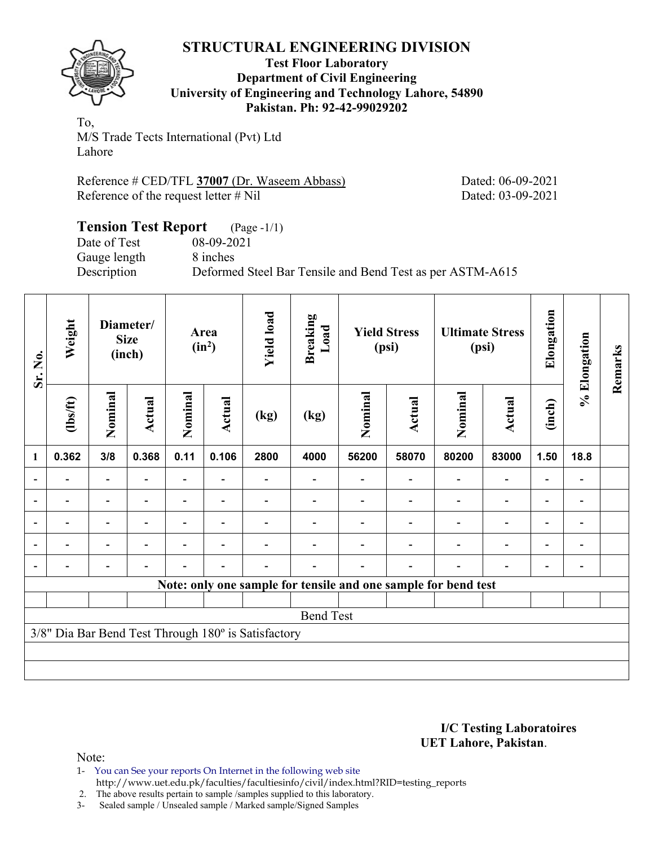

#### **Test Floor Laboratory Department of Civil Engineering University of Engineering and Technology Lahore, 54890 Pakistan. Ph: 92-42-99029202**

To, M/S Trade Tects International (Pvt) Ltd Lahore

Reference # CED/TFL **37007** (Dr. Waseem Abbass) Dated: 06-09-2021 Reference of the request letter # Nil Dated: 03-09-2021

# **Tension Test Report** (Page -1/1) Date of Test 08-09-2021 Gauge length 8 inches

Description Deformed Steel Bar Tensile and Bend Test as per ASTM-A615

| Sr. No.      | Weight           |                          | Diameter/<br><b>Size</b><br>(inch) |                          | Area<br>$(in^2)$ | <b>Yield load</b>                                   | <b>Breaking</b><br>Load                                        |         | <b>Yield Stress</b><br>(psi) |         | <b>Ultimate Stress</b><br>(psi) | Elongation | % Elongation                 | Remarks |
|--------------|------------------|--------------------------|------------------------------------|--------------------------|------------------|-----------------------------------------------------|----------------------------------------------------------------|---------|------------------------------|---------|---------------------------------|------------|------------------------------|---------|
|              | (1bs/ft)         | Nominal                  | Actual                             | Nominal                  | Actual           | (kg)                                                | (kg)                                                           | Nominal | Actual                       | Nominal | Actual                          | (inch)     |                              |         |
| $\mathbf{1}$ | 0.362            | 3/8                      | 0.368                              | 0.11                     | 0.106            | 2800                                                | 4000                                                           | 56200   | 58070                        | 80200   | 83000                           | 1.50       | 18.8                         |         |
| ۰            |                  | $\overline{\phantom{0}}$ |                                    | $\overline{\phantom{0}}$ |                  |                                                     |                                                                |         |                              |         | $\overline{\phantom{0}}$        |            | $\qquad \qquad \blacksquare$ |         |
|              |                  |                          |                                    |                          |                  |                                                     |                                                                |         |                              |         |                                 |            | $\overline{\phantom{a}}$     |         |
| ۰            |                  |                          |                                    |                          |                  |                                                     |                                                                |         |                              |         |                                 |            | $\qquad \qquad \blacksquare$ |         |
|              |                  |                          |                                    |                          |                  |                                                     |                                                                |         |                              |         |                                 |            | $\qquad \qquad \blacksquare$ |         |
|              |                  |                          |                                    |                          |                  |                                                     |                                                                |         |                              |         |                                 |            | $\qquad \qquad \blacksquare$ |         |
|              |                  |                          |                                    |                          |                  |                                                     | Note: only one sample for tensile and one sample for bend test |         |                              |         |                                 |            |                              |         |
|              |                  |                          |                                    |                          |                  |                                                     |                                                                |         |                              |         |                                 |            |                              |         |
|              | <b>Bend Test</b> |                          |                                    |                          |                  |                                                     |                                                                |         |                              |         |                                 |            |                              |         |
|              |                  |                          |                                    |                          |                  | 3/8" Dia Bar Bend Test Through 180° is Satisfactory |                                                                |         |                              |         |                                 |            |                              |         |
|              |                  |                          |                                    |                          |                  |                                                     |                                                                |         |                              |         |                                 |            |                              |         |
|              |                  |                          |                                    |                          |                  |                                                     |                                                                |         |                              |         |                                 |            |                              |         |

#### **I/C Testing Laboratoires UET Lahore, Pakistan**.

Note:

1- You can See your reports On Internet in the following web site http://www.uet.edu.pk/faculties/facultiesinfo/civil/index.html?RID=testing\_reports

2. The above results pertain to sample /samples supplied to this laboratory.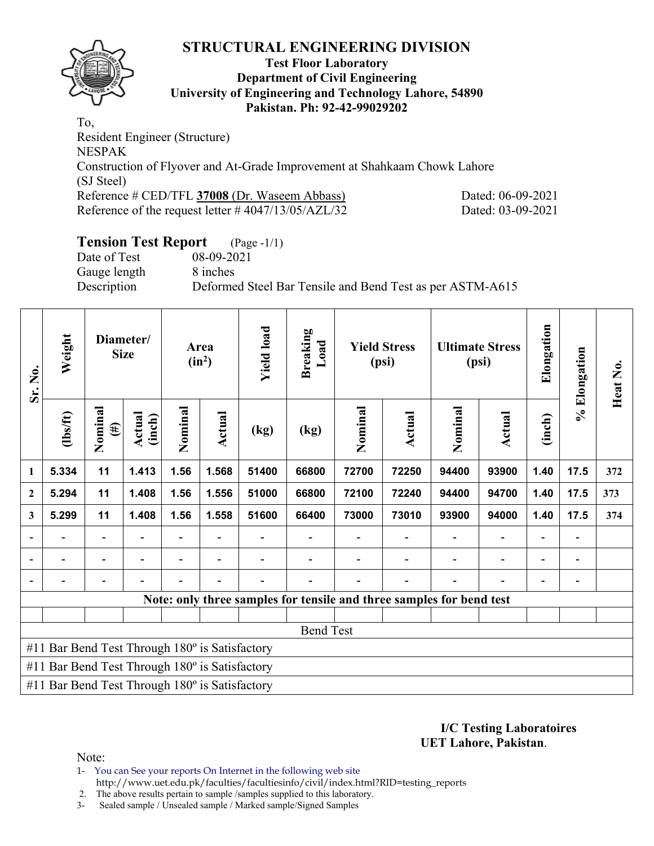

#### **Test Floor Laboratory Department of Civil Engineering University of Engineering and Technology Lahore, 54890 Pakistan. Ph: 92-42-99029202**

To, Resident Engineer (Structure) NESPAK Construction of Flyover and At-Grade Improvement at Shahkaam Chowk Lahore (SJ Steel) Reference # CED/TFL **37008** (Dr. Waseem Abbass) Dated: 06-09-2021 Reference of the request letter # 4047/13/05/AZL/32 Dated: 03-09-2021

# **Tension Test Report** (Page -1/1)

Date of Test 08-09-2021 Gauge length 8 inches

Description Deformed Steel Bar Tensile and Bend Test as per ASTM-A615

| Sr. No.                  | Weight                                                |                   | Diameter/<br><b>Size</b> |         | Area<br>$(in^2)$         | <b>Yield load</b>        | <b>Breaking</b><br>Load                                              |         | <b>Yield Stress</b><br>(psi) |                          | <b>Ultimate Stress</b><br>(psi) | Elongation               | % Elongation                 | Heat No. |
|--------------------------|-------------------------------------------------------|-------------------|--------------------------|---------|--------------------------|--------------------------|----------------------------------------------------------------------|---------|------------------------------|--------------------------|---------------------------------|--------------------------|------------------------------|----------|
|                          | $\frac{2}{10}$                                        | Nominal<br>$(\#)$ | Actual<br>(inch)         | Nominal | Actual                   | $\left(\text{kg}\right)$ | (kg)                                                                 | Nominal | <b>Actual</b>                | Nominal                  | Actual                          | (inch)                   |                              |          |
| $\mathbf{1}$             | 5.334                                                 | 11                | 1.413                    | 1.56    | 1.568                    | 51400                    | 66800                                                                | 72700   | 72250                        | 94400                    | 93900                           | 1.40                     | 17.5                         | 372      |
| $\mathbf{2}$             | 5.294                                                 | 11                | 1.408                    | 1.56    | 1.556                    | 51000                    | 66800                                                                | 72100   | 72240                        | 94400                    | 94700                           | 1.40                     | 17.5                         | 373      |
| 3                        | 5.299                                                 | 11                | 1.408                    | 1.56    | 1.558                    | 51600                    | 66400                                                                | 73000   | 73010                        | 93900                    | 94000                           | 1.40                     | 17.5                         | 374      |
| $\overline{\phantom{a}}$ |                                                       |                   |                          |         |                          |                          | $\overline{a}$                                                       |         |                              |                          |                                 |                          | $\qquad \qquad \blacksquare$ |          |
| $\overline{\phantom{a}}$ |                                                       |                   |                          |         | $\overline{\phantom{0}}$ |                          | $\overline{\phantom{a}}$                                             |         | $\overline{\phantom{0}}$     | $\overline{\phantom{0}}$ |                                 | $\overline{\phantom{0}}$ | $\qquad \qquad \blacksquare$ |          |
| $\overline{\phantom{a}}$ |                                                       |                   |                          |         |                          |                          | $\overline{\phantom{0}}$                                             |         | $\blacksquare$               |                          |                                 | $\overline{\phantom{0}}$ | $\qquad \qquad \blacksquare$ |          |
|                          |                                                       |                   |                          |         |                          |                          | Note: only three samples for tensile and three samples for bend test |         |                              |                          |                                 |                          |                              |          |
|                          |                                                       |                   |                          |         |                          |                          |                                                                      |         |                              |                          |                                 |                          |                              |          |
|                          |                                                       |                   |                          |         |                          |                          | <b>Bend Test</b>                                                     |         |                              |                          |                                 |                          |                              |          |
|                          | #11 Bar Bend Test Through 180° is Satisfactory        |                   |                          |         |                          |                          |                                                                      |         |                              |                          |                                 |                          |                              |          |
|                          | #11 Bar Bend Test Through 180° is Satisfactory        |                   |                          |         |                          |                          |                                                                      |         |                              |                          |                                 |                          |                              |          |
|                          | #11 Bar Bend Test Through $180^\circ$ is Satisfactory |                   |                          |         |                          |                          |                                                                      |         |                              |                          |                                 |                          |                              |          |

**I/C Testing Laboratoires UET Lahore, Pakistan**.

Note:

1- You can See your reports On Internet in the following web site http://www.uet.edu.pk/faculties/facultiesinfo/civil/index.html?RID=testing\_reports

2. The above results pertain to sample /samples supplied to this laboratory.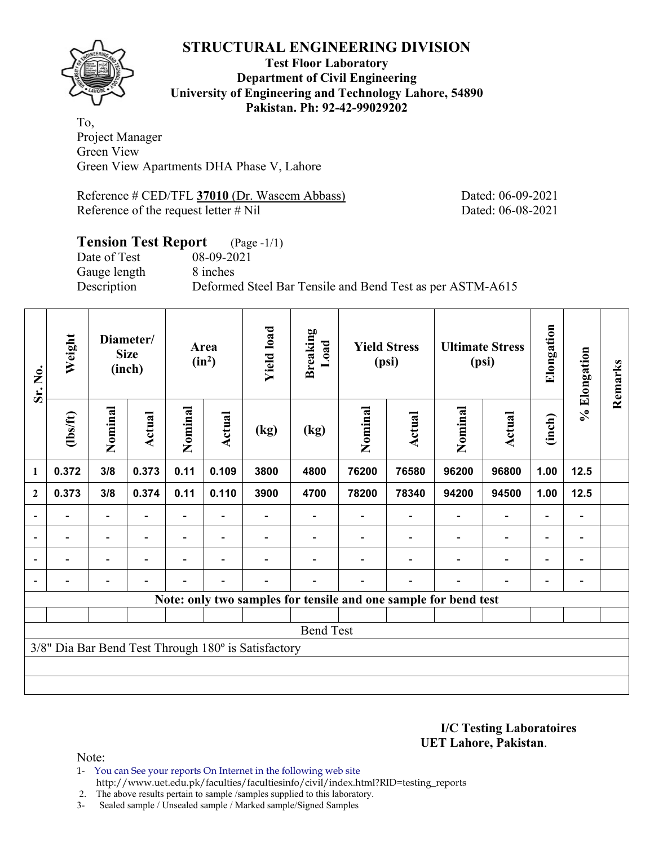

**Test Floor Laboratory Department of Civil Engineering University of Engineering and Technology Lahore, 54890 Pakistan. Ph: 92-42-99029202** 

To, Project Manager Green View Green View Apartments DHA Phase V, Lahore

Reference # CED/TFL **37010** (Dr. Waseem Abbass) Dated: 06-09-2021 Reference of the request letter # Nil Dated: 06-08-2021

# **Tension Test Report** (Page -1/1) Date of Test 08-09-2021 Gauge length 8 inches Description Deformed Steel Bar Tensile and Bend Test as per ASTM-A615

| Sr. No.        | Weight                   |                          | Diameter/<br><b>Size</b><br>(inch) |                          | Area<br>$(in^2)$ | <b>Yield load</b>                                   | <b>Breaking</b><br>Load                                         |         | <b>Yield Stress</b><br>(psi) |                          | <b>Ultimate Stress</b><br>(psi) | Elongation               | % Elongation                 | Remarks |
|----------------|--------------------------|--------------------------|------------------------------------|--------------------------|------------------|-----------------------------------------------------|-----------------------------------------------------------------|---------|------------------------------|--------------------------|---------------------------------|--------------------------|------------------------------|---------|
|                | (1bs/ft)                 | Nominal                  | Actual                             | Nominal                  | <b>Actual</b>    | (kg)                                                | (kg)                                                            | Nominal | Actual                       | Nominal                  | Actual                          | (inch)                   |                              |         |
| 1              | 0.372                    | 3/8                      | 0.373                              | 0.11                     | 0.109            | 3800                                                | 4800                                                            | 76200   | 76580                        | 96200                    | 96800                           | 1.00                     | 12.5                         |         |
| $\mathbf{2}$   | 0.373                    | 3/8                      | 0.374                              | 0.11                     | 0.110            | 3900                                                | 4700                                                            | 78200   | 78340                        | 94200                    | 94500                           | 1.00                     | 12.5                         |         |
| $\blacksquare$ |                          | $\overline{\phantom{0}}$ |                                    |                          |                  |                                                     |                                                                 |         |                              |                          | $\overline{\phantom{a}}$        | $\overline{\phantom{0}}$ | $\qquad \qquad \blacksquare$ |         |
|                | $\overline{\phantom{0}}$ | $\overline{\phantom{a}}$ | $\overline{\phantom{a}}$           | $\overline{\phantom{0}}$ | $\blacksquare$   |                                                     |                                                                 |         |                              | $\overline{\phantom{0}}$ | $\overline{\phantom{a}}$        | $\overline{\phantom{a}}$ | $\overline{\phantom{a}}$     |         |
|                |                          | $\overline{\phantom{0}}$ | $\blacksquare$                     |                          | ٠                |                                                     |                                                                 |         |                              |                          | $\overline{\phantom{0}}$        | $\overline{\phantom{0}}$ | $\overline{a}$               |         |
|                |                          | $\overline{\phantom{0}}$ |                                    |                          |                  |                                                     |                                                                 |         |                              |                          | $\overline{\phantom{0}}$        | $\overline{\phantom{0}}$ | $\blacksquare$               |         |
|                |                          |                          |                                    |                          |                  |                                                     | Note: only two samples for tensile and one sample for bend test |         |                              |                          |                                 |                          |                              |         |
|                |                          |                          |                                    |                          |                  |                                                     |                                                                 |         |                              |                          |                                 |                          |                              |         |
|                |                          |                          |                                    |                          |                  |                                                     | <b>Bend Test</b>                                                |         |                              |                          |                                 |                          |                              |         |
|                |                          |                          |                                    |                          |                  | 3/8" Dia Bar Bend Test Through 180° is Satisfactory |                                                                 |         |                              |                          |                                 |                          |                              |         |
|                |                          |                          |                                    |                          |                  |                                                     |                                                                 |         |                              |                          |                                 |                          |                              |         |
|                |                          |                          |                                    |                          |                  |                                                     |                                                                 |         |                              |                          |                                 |                          |                              |         |

**I/C Testing Laboratoires UET Lahore, Pakistan**.

Note:

1- You can See your reports On Internet in the following web site http://www.uet.edu.pk/faculties/facultiesinfo/civil/index.html?RID=testing\_reports

2. The above results pertain to sample /samples supplied to this laboratory.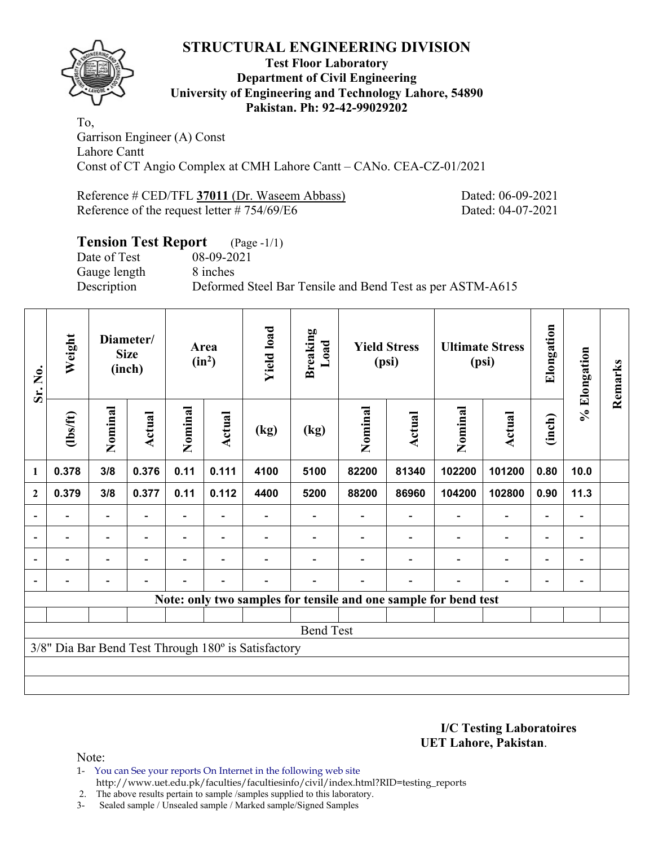

#### **Test Floor Laboratory Department of Civil Engineering University of Engineering and Technology Lahore, 54890 Pakistan. Ph: 92-42-99029202**

To, Garrison Engineer (A) Const Lahore Cantt Const of CT Angio Complex at CMH Lahore Cantt – CANo. CEA-CZ-01/2021

Reference # CED/TFL 37011 (Dr. Waseem Abbass) Dated: 06-09-2021 Reference of the request letter # 754/69/E6 Dated: 04-07-2021

# **Tension Test Report** (Page -1/1) Date of Test 08-09-2021 Gauge length 8 inches Description Deformed Steel Bar Tensile and Bend Test as per ASTM-A615

| Sr. No.                  | Weight                   |                          | Diameter/<br><b>Size</b><br>(inch) |                          | Area<br>$(in^2)$ | <b>Yield load</b>                                   | <b>Breaking</b><br>Load |         | <b>Yield Stress</b><br>(psi) |                                                                 | <b>Ultimate Stress</b><br>(psi) | Elongation               | % Elongation   | Remarks |
|--------------------------|--------------------------|--------------------------|------------------------------------|--------------------------|------------------|-----------------------------------------------------|-------------------------|---------|------------------------------|-----------------------------------------------------------------|---------------------------------|--------------------------|----------------|---------|
|                          | (1bs/ft)                 | Nominal                  | <b>Actual</b>                      | Nominal                  | Actual           | (kg)                                                | (kg)                    | Nominal | Actual                       | Nominal                                                         | Actual                          | (inch)                   |                |         |
| 1                        | 0.378                    | 3/8                      | 0.376                              | 0.11                     | 0.111            | 4100                                                | 5100                    | 82200   | 81340                        | 102200                                                          | 101200                          | 0.80                     | 10.0           |         |
| $\mathbf{2}$             | 0.379                    | 3/8                      | 0.377                              | 0.11                     | 0.112            | 4400                                                | 5200                    | 88200   | 86960                        | 104200                                                          | 102800                          | 0.90                     | 11.3           |         |
|                          |                          | $\overline{\phantom{0}}$ |                                    |                          |                  |                                                     |                         |         |                              |                                                                 |                                 | $\overline{\phantom{0}}$ |                |         |
| $\overline{\phantom{0}}$ | $\overline{\phantom{0}}$ | $\blacksquare$           | $\overline{\phantom{0}}$           |                          | $\blacksquare$   |                                                     |                         |         |                              |                                                                 | $\overline{a}$                  | $\overline{\phantom{a}}$ | $\blacksquare$ |         |
|                          |                          | $\overline{\phantom{0}}$ |                                    |                          |                  |                                                     |                         |         |                              |                                                                 | $\overline{a}$                  | $\overline{\phantom{0}}$ |                |         |
|                          |                          | -                        | $\blacksquare$                     | $\overline{\phantom{0}}$ | $\blacksquare$   |                                                     |                         |         | $\overline{\phantom{0}}$     |                                                                 | $\overline{\phantom{0}}$        | $\overline{\phantom{0}}$ |                |         |
|                          |                          |                          |                                    |                          |                  |                                                     |                         |         |                              | Note: only two samples for tensile and one sample for bend test |                                 |                          |                |         |
|                          |                          |                          |                                    |                          |                  |                                                     |                         |         |                              |                                                                 |                                 |                          |                |         |
|                          |                          |                          |                                    |                          |                  |                                                     | <b>Bend Test</b>        |         |                              |                                                                 |                                 |                          |                |         |
|                          |                          |                          |                                    |                          |                  | 3/8" Dia Bar Bend Test Through 180° is Satisfactory |                         |         |                              |                                                                 |                                 |                          |                |         |
|                          |                          |                          |                                    |                          |                  |                                                     |                         |         |                              |                                                                 |                                 |                          |                |         |
|                          |                          |                          |                                    |                          |                  |                                                     |                         |         |                              |                                                                 |                                 |                          |                |         |

**I/C Testing Laboratoires UET Lahore, Pakistan**.

- 1- You can See your reports On Internet in the following web site http://www.uet.edu.pk/faculties/facultiesinfo/civil/index.html?RID=testing\_reports
- 2. The above results pertain to sample /samples supplied to this laboratory.
- 3- Sealed sample / Unsealed sample / Marked sample/Signed Samples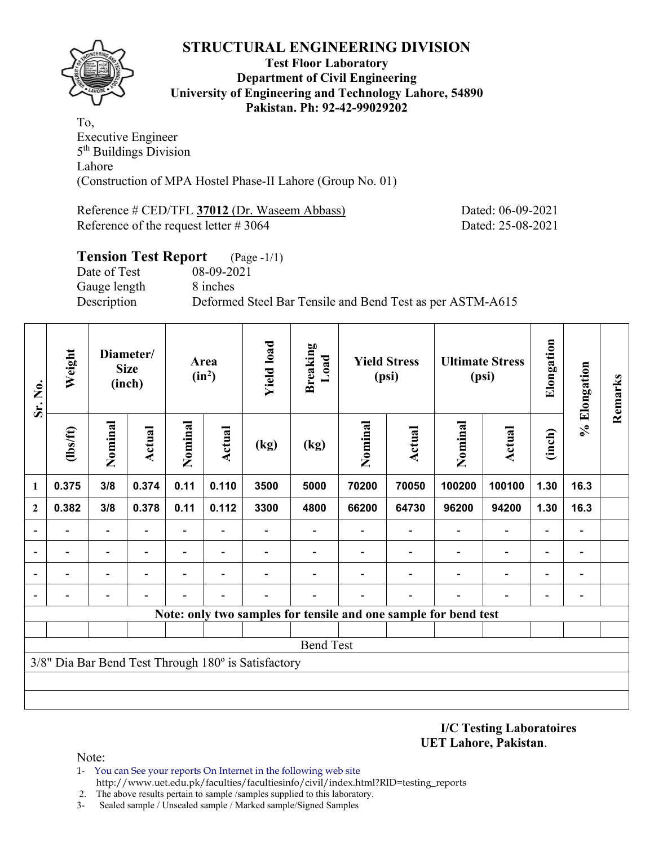

#### **Test Floor Laboratory Department of Civil Engineering University of Engineering and Technology Lahore, 54890 Pakistan. Ph: 92-42-99029202**

To, Executive Engineer 5<sup>th</sup> Buildings Division Lahore (Construction of MPA Hostel Phase-II Lahore (Group No. 01)

Reference # CED/TFL **37012** (Dr. Waseem Abbass) Dated: 06-09-2021 Reference of the request letter # 3064 Dated: 25-08-2021

# **Tension Test Report** (Page -1/1) Date of Test 08-09-2021 Gauge length 8 inches Description Deformed Steel Bar Tensile and Bend Test as per ASTM-A615

| Sr. No.      | Weight           |         | Diameter/<br><b>Size</b><br>(inch) |                          | Area<br>$(in^2)$         | <b>Yield load</b>                                   | Breaking<br>Load |         | <b>Yield Stress</b><br>(psi)                                    |         | <b>Ultimate Stress</b><br>(psi) | Elongation               | % Elongation   | Remarks |
|--------------|------------------|---------|------------------------------------|--------------------------|--------------------------|-----------------------------------------------------|------------------|---------|-----------------------------------------------------------------|---------|---------------------------------|--------------------------|----------------|---------|
|              | (lbs/ft)         | Nominal | <b>Actual</b>                      | Nominal                  | Actual                   | (kg)                                                | (kg)             | Nominal | Actual                                                          | Nominal | Actual                          | (inch)                   |                |         |
| 1            | 0.375            | 3/8     | 0.374                              | 0.11                     | 0.110                    | 3500                                                | 5000             | 70200   | 70050                                                           | 100200  | 100100                          | 1.30                     | 16.3           |         |
| $\mathbf{2}$ | 0.382            | 3/8     | 0.378                              | 0.11                     | 0.112                    | 3300                                                | 4800             | 66200   | 64730                                                           | 96200   | 94200                           | 1.30                     | 16.3           |         |
|              |                  |         |                                    | $\overline{\phantom{0}}$ |                          |                                                     |                  |         |                                                                 |         | $\overline{\phantom{a}}$        |                          |                |         |
|              |                  |         |                                    | $\qquad \qquad -$        | $\overline{\phantom{0}}$ |                                                     |                  |         |                                                                 |         | $\overline{\phantom{0}}$        | $\overline{\phantom{0}}$ |                |         |
|              |                  |         |                                    |                          |                          |                                                     |                  |         |                                                                 |         | $\overline{\phantom{0}}$        |                          | $\blacksquare$ |         |
|              |                  |         |                                    |                          |                          |                                                     |                  |         |                                                                 |         |                                 |                          |                |         |
|              |                  |         |                                    |                          |                          |                                                     |                  |         | Note: only two samples for tensile and one sample for bend test |         |                                 |                          |                |         |
|              |                  |         |                                    |                          |                          |                                                     |                  |         |                                                                 |         |                                 |                          |                |         |
|              | <b>Bend Test</b> |         |                                    |                          |                          |                                                     |                  |         |                                                                 |         |                                 |                          |                |         |
|              |                  |         |                                    |                          |                          | 3/8" Dia Bar Bend Test Through 180° is Satisfactory |                  |         |                                                                 |         |                                 |                          |                |         |
|              |                  |         |                                    |                          |                          |                                                     |                  |         |                                                                 |         |                                 |                          |                |         |
|              |                  |         |                                    |                          |                          |                                                     |                  |         |                                                                 |         |                                 |                          |                |         |

**I/C Testing Laboratoires UET Lahore, Pakistan**.

Note:

1- You can See your reports On Internet in the following web site http://www.uet.edu.pk/faculties/facultiesinfo/civil/index.html?RID=testing\_reports

2. The above results pertain to sample /samples supplied to this laboratory.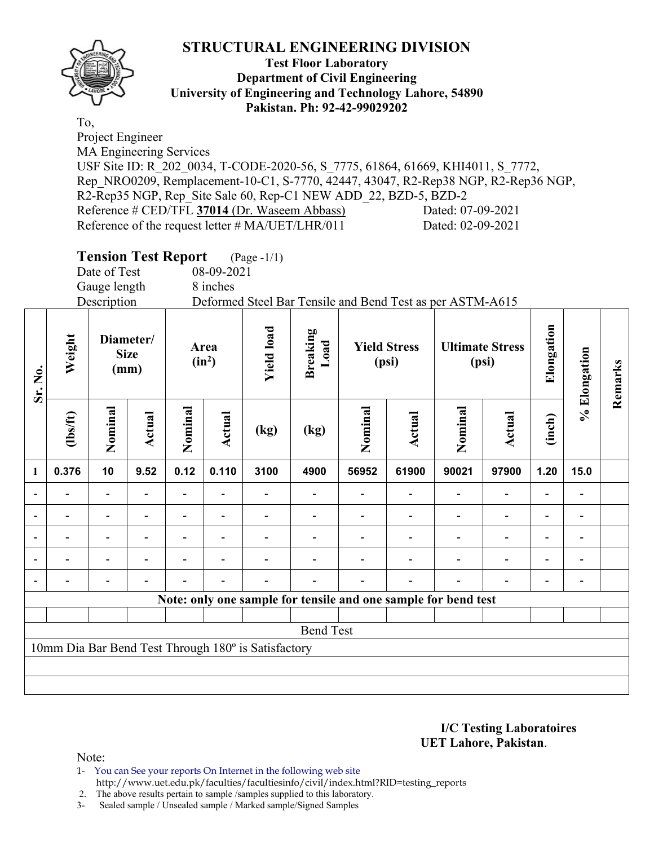

### **Test Floor Laboratory Department of Civil Engineering University of Engineering and Technology Lahore, 54890 Pakistan. Ph: 92-42-99029202**

To, Project Engineer

MA Engineering Services

USF Site ID: R\_202\_0034, T-CODE-2020-56, S\_7775, 61864, 61669, KHI4011, S\_7772, Rep\_NRO0209, Remplacement-10-C1, S-7770, 42447, 43047, R2-Rep38 NGP, R2-Rep36 NGP, R2-Rep35 NGP, Rep Site Sale 60, Rep-C1 NEW ADD 22, BZD-5, BZD-2 Reference # CED/TFL **37014** (Dr. Waseem Abbass) Dated: 07-09-2021 Reference of the request letter # MA/UET/LHR/011 Dated: 02-09-2021

| Date of Test<br>08-09-2021<br>Gauge length<br>8 inches<br>Description<br>Deformed Steel Bar Tensile and Bend Test as per ASTM-A615<br>Elongation<br><b>Yield load</b><br><b>Breaking</b><br>Weight<br>Diameter/<br>Load<br><b>Yield Stress</b><br><b>Ultimate Stress</b><br>Area<br>% Elongation<br><b>Size</b><br>$(in^2)$<br>(psi)<br>(psi)<br>(mm)<br>Sr. No.<br>Nominal<br>Nominal<br>Nominal<br>Nominal<br><b>Actual</b><br>Actual<br><b>Actual</b><br>(1bs/ft)<br>Actual<br>(inch)<br>(kg)<br>(kg)<br>0.110<br>0.376<br>10<br>9.52<br>0.12<br>3100<br>56952<br>61900<br>90021<br>97900<br>1.20<br>4900<br>15.0<br>$\mathbf{1}$ | Remarks |
|--------------------------------------------------------------------------------------------------------------------------------------------------------------------------------------------------------------------------------------------------------------------------------------------------------------------------------------------------------------------------------------------------------------------------------------------------------------------------------------------------------------------------------------------------------------------------------------------------------------------------------------|---------|
|                                                                                                                                                                                                                                                                                                                                                                                                                                                                                                                                                                                                                                      |         |
|                                                                                                                                                                                                                                                                                                                                                                                                                                                                                                                                                                                                                                      |         |
|                                                                                                                                                                                                                                                                                                                                                                                                                                                                                                                                                                                                                                      |         |
|                                                                                                                                                                                                                                                                                                                                                                                                                                                                                                                                                                                                                                      |         |
|                                                                                                                                                                                                                                                                                                                                                                                                                                                                                                                                                                                                                                      |         |
|                                                                                                                                                                                                                                                                                                                                                                                                                                                                                                                                                                                                                                      |         |
| $\overline{\phantom{a}}$<br>$\overline{\phantom{a}}$<br>$\overline{\phantom{0}}$                                                                                                                                                                                                                                                                                                                                                                                                                                                                                                                                                     |         |
| $\overline{\phantom{a}}$<br>$\overline{\phantom{0}}$<br>$\blacksquare$<br>$\blacksquare$<br>$\blacksquare$<br>$\blacksquare$<br>$\blacksquare$                                                                                                                                                                                                                                                                                                                                                                                                                                                                                       |         |
| $\qquad \qquad \blacksquare$<br>-<br>$\overline{a}$<br>$\overline{a}$<br>$\blacksquare$<br>$\blacksquare$                                                                                                                                                                                                                                                                                                                                                                                                                                                                                                                            |         |
| $\overline{\phantom{a}}$<br>$\blacksquare$<br>$\qquad \qquad \blacksquare$<br>$\overline{\phantom{0}}$<br>Ξ.<br>$\overline{\phantom{a}}$<br>$\blacksquare$<br>$\overline{a}$<br>$\overline{a}$                                                                                                                                                                                                                                                                                                                                                                                                                                       |         |
|                                                                                                                                                                                                                                                                                                                                                                                                                                                                                                                                                                                                                                      |         |
| Note: only one sample for tensile and one sample for bend test                                                                                                                                                                                                                                                                                                                                                                                                                                                                                                                                                                       |         |
|                                                                                                                                                                                                                                                                                                                                                                                                                                                                                                                                                                                                                                      |         |
| <b>Bend Test</b>                                                                                                                                                                                                                                                                                                                                                                                                                                                                                                                                                                                                                     |         |
| 10mm Dia Bar Bend Test Through 180° is Satisfactory                                                                                                                                                                                                                                                                                                                                                                                                                                                                                                                                                                                  |         |
|                                                                                                                                                                                                                                                                                                                                                                                                                                                                                                                                                                                                                                      |         |
|                                                                                                                                                                                                                                                                                                                                                                                                                                                                                                                                                                                                                                      |         |

**I/C Testing Laboratoires UET Lahore, Pakistan**.

Note:

1- You can See your reports On Internet in the following web site http://www.uet.edu.pk/faculties/facultiesinfo/civil/index.html?RID=testing\_reports

2. The above results pertain to sample /samples supplied to this laboratory.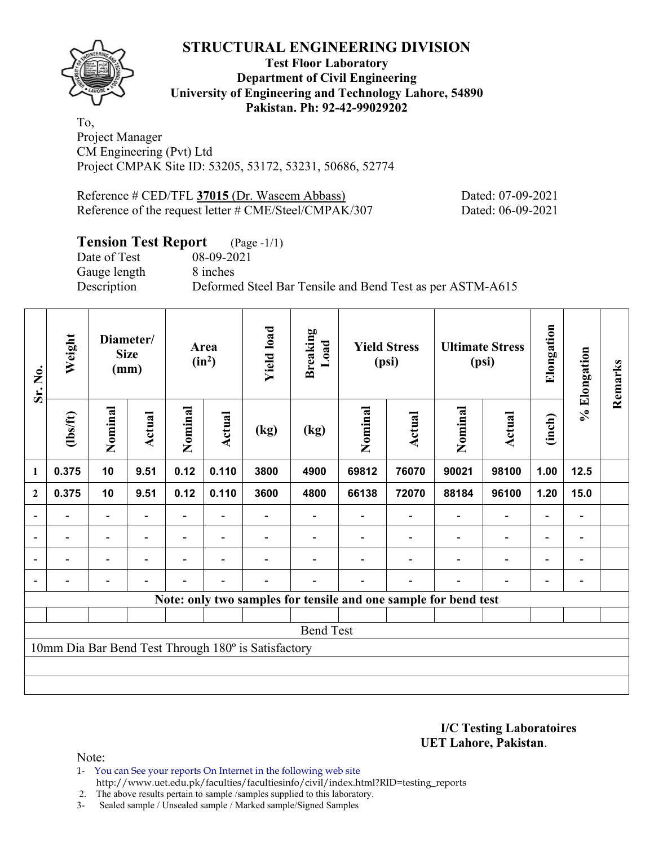

## **Test Floor Laboratory Department of Civil Engineering University of Engineering and Technology Lahore, 54890 Pakistan. Ph: 92-42-99029202**

To, Project Manager CM Engineering (Pvt) Ltd Project CMPAK Site ID: 53205, 53172, 53231, 50686, 52774

Reference # CED/TFL **37015** (Dr. Waseem Abbass) Dated: 07-09-2021 Reference of the request letter # CME/Steel/CMPAK/307 Dated: 06-09-2021

# **Tension Test Report** (Page -1/1)

Date of Test 08-09-2021 Gauge length 8 inches

Description Deformed Steel Bar Tensile and Bend Test as per ASTM-A615

| Sr. No.                  | Weight                   |                          | Diameter/<br><b>Size</b><br>(mm) |                          | Area<br>$(in^2)$         | <b>Yield load</b>                                   | <b>Breaking</b><br>Load                                         |         | <b>Yield Stress</b><br>(psi) |                          | <b>Ultimate Stress</b><br>(psi) | Elongation               | % Elongation                 | Remarks |
|--------------------------|--------------------------|--------------------------|----------------------------------|--------------------------|--------------------------|-----------------------------------------------------|-----------------------------------------------------------------|---------|------------------------------|--------------------------|---------------------------------|--------------------------|------------------------------|---------|
|                          | (1bs/ft)                 | Nominal                  | <b>Actual</b>                    | Nominal                  | Actual                   | (kg)                                                | (kg)                                                            | Nominal | Actual                       | Nominal                  | Actual                          | (inch)                   |                              |         |
| 1                        | 0.375                    | 10                       | 9.51                             | 0.12                     | 0.110                    | 3800                                                | 4900                                                            | 69812   | 76070                        | 90021                    | 98100                           | 1.00                     | 12.5                         |         |
| $\mathbf{2}$             | 0.375                    | 10                       | 9.51                             | 0.12                     | 0.110                    | 3600                                                | 4800                                                            | 66138   | 72070                        | 88184                    | 96100                           | 1.20                     | 15.0                         |         |
| $\overline{a}$           |                          | $\overline{a}$           |                                  |                          |                          |                                                     |                                                                 |         |                              |                          | $\overline{a}$                  | $\qquad \qquad -$        |                              |         |
| $\overline{\phantom{a}}$ | $\overline{\phantom{0}}$ | $\blacksquare$           | $\overline{\phantom{0}}$         |                          | $\blacksquare$           |                                                     |                                                                 |         |                              | $\overline{\phantom{a}}$ | $\overline{\phantom{a}}$        | $\overline{\phantom{a}}$ | $\overline{\phantom{0}}$     |         |
|                          | $\overline{\phantom{0}}$ | $\overline{\phantom{0}}$ | ۰                                | $\overline{\phantom{0}}$ | $\overline{\phantom{0}}$ |                                                     |                                                                 |         |                              | $\overline{\phantom{0}}$ | $\overline{a}$                  | $\overline{\phantom{a}}$ | $\qquad \qquad \blacksquare$ |         |
| $\overline{a}$           |                          | $\overline{\phantom{0}}$ | $\overline{\phantom{0}}$         | -                        | $\overline{\phantom{a}}$ | -                                                   |                                                                 |         | $\overline{\phantom{0}}$     | ٠                        | $\overline{\phantom{0}}$        | $\overline{\phantom{0}}$ | $\qquad \qquad \blacksquare$ |         |
|                          |                          |                          |                                  |                          |                          |                                                     | Note: only two samples for tensile and one sample for bend test |         |                              |                          |                                 |                          |                              |         |
|                          |                          |                          |                                  |                          |                          |                                                     |                                                                 |         |                              |                          |                                 |                          |                              |         |
|                          |                          |                          |                                  |                          |                          |                                                     | <b>Bend Test</b>                                                |         |                              |                          |                                 |                          |                              |         |
|                          |                          |                          |                                  |                          |                          | 10mm Dia Bar Bend Test Through 180° is Satisfactory |                                                                 |         |                              |                          |                                 |                          |                              |         |
|                          |                          |                          |                                  |                          |                          |                                                     |                                                                 |         |                              |                          |                                 |                          |                              |         |
|                          |                          |                          |                                  |                          |                          |                                                     |                                                                 |         |                              |                          |                                 |                          |                              |         |

**I/C Testing Laboratoires UET Lahore, Pakistan**.

Note:

1- You can See your reports On Internet in the following web site http://www.uet.edu.pk/faculties/facultiesinfo/civil/index.html?RID=testing\_reports

2. The above results pertain to sample /samples supplied to this laboratory.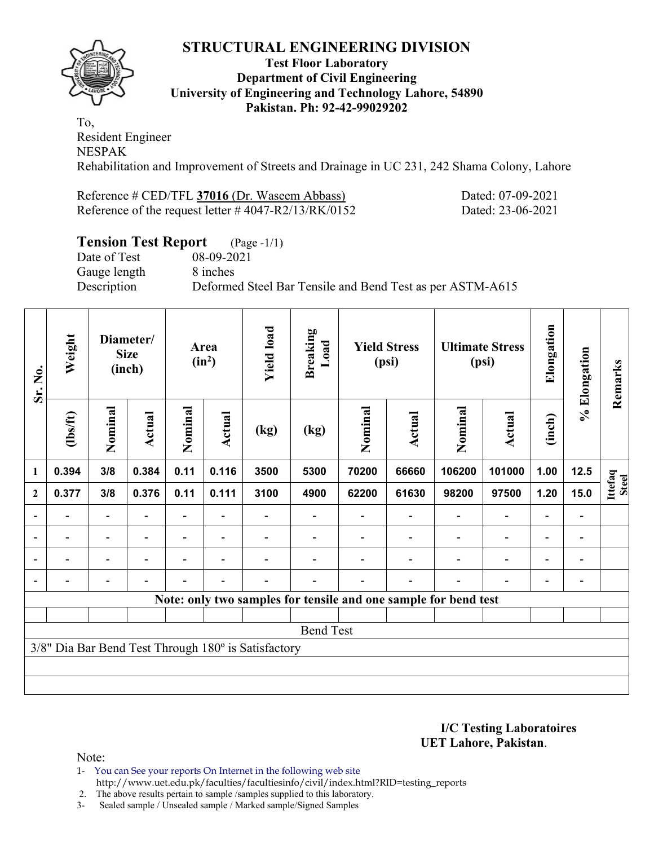

### **Test Floor Laboratory Department of Civil Engineering University of Engineering and Technology Lahore, 54890 Pakistan. Ph: 92-42-99029202**

To, Resident Engineer NESPAK Rehabilitation and Improvement of Streets and Drainage in UC 231, 242 Shama Colony, Lahore

Reference # CED/TFL **37016** (Dr. Waseem Abbass) Dated: 07-09-2021 Reference of the request letter # 4047-R2/13/RK/0152 Dated: 23-06-2021

# **Tension Test Report** (Page -1/1)

Date of Test 08-09-2021 Gauge length 8 inches

Description Deformed Steel Bar Tensile and Bend Test as per ASTM-A615

| Sr. No.          | Weight                   |                          | Diameter/<br><b>Size</b><br>(inch) |         | Area<br>$(in^2)$         | <b>Yield load</b>                                   | <b>Breaking</b><br>Load                                         |         | <b>Yield Stress</b><br>(psi) |                | <b>Ultimate Stress</b><br>(psi) | Elongation               | % Elongation                 | Remarks                 |
|------------------|--------------------------|--------------------------|------------------------------------|---------|--------------------------|-----------------------------------------------------|-----------------------------------------------------------------|---------|------------------------------|----------------|---------------------------------|--------------------------|------------------------------|-------------------------|
|                  | (1bs/ft)                 | Nominal                  | Actual                             | Nominal | <b>Actual</b>            | (kg)                                                | (kg)                                                            | Nominal | Actual                       | Nominal        | <b>Actual</b>                   | (inch)                   |                              |                         |
| 1                | 0.394                    | 3/8                      | 0.384                              | 0.11    | 0.116                    | 3500                                                | 5300                                                            | 70200   | 66660                        | 106200         | 101000                          | 1.00                     | $12.5$                       |                         |
| $\boldsymbol{2}$ | 0.377                    | 3/8                      | 0.376                              | 0.11    | 0.111                    | 3100                                                | 4900                                                            | 62200   | 61630                        | 98200          | 97500                           | 1.20                     | 15.0                         | Ittefaq<br><b>Steel</b> |
|                  | $\overline{\phantom{0}}$ | $\overline{\phantom{a}}$ |                                    |         |                          |                                                     |                                                                 |         | $\blacksquare$               |                | $\qquad \qquad \blacksquare$    | $\overline{\phantom{a}}$ |                              |                         |
|                  | $\overline{\phantom{0}}$ | $\overline{\phantom{a}}$ | $\blacksquare$                     | Ξ.      | $\overline{\phantom{a}}$ |                                                     |                                                                 |         | $\blacksquare$               | $\blacksquare$ | $\overline{\phantom{0}}$        | $\overline{\phantom{0}}$ | $\blacksquare$               |                         |
|                  | $\overline{\phantom{0}}$ | -                        |                                    | Ξ.      | $\overline{\phantom{0}}$ |                                                     |                                                                 |         |                              | $\blacksquare$ | $\qquad \qquad \blacksquare$    | $\overline{\phantom{0}}$ | $\qquad \qquad \blacksquare$ |                         |
|                  | $\overline{\phantom{0}}$ | $\overline{\phantom{0}}$ |                                    |         | $\overline{\phantom{a}}$ |                                                     |                                                                 |         | $\blacksquare$               |                | $\overline{\phantom{0}}$        | $\overline{\phantom{0}}$ | $\qquad \qquad \blacksquare$ |                         |
|                  |                          |                          |                                    |         |                          |                                                     | Note: only two samples for tensile and one sample for bend test |         |                              |                |                                 |                          |                              |                         |
|                  |                          |                          |                                    |         |                          |                                                     |                                                                 |         |                              |                |                                 |                          |                              |                         |
|                  |                          |                          |                                    |         |                          |                                                     | <b>Bend Test</b>                                                |         |                              |                |                                 |                          |                              |                         |
|                  |                          |                          |                                    |         |                          | 3/8" Dia Bar Bend Test Through 180° is Satisfactory |                                                                 |         |                              |                |                                 |                          |                              |                         |
|                  |                          |                          |                                    |         |                          |                                                     |                                                                 |         |                              |                |                                 |                          |                              |                         |
|                  |                          |                          |                                    |         |                          |                                                     |                                                                 |         |                              |                |                                 |                          |                              |                         |

**I/C Testing Laboratoires UET Lahore, Pakistan**.

- 1- You can See your reports On Internet in the following web site http://www.uet.edu.pk/faculties/facultiesinfo/civil/index.html?RID=testing\_reports
- 2. The above results pertain to sample /samples supplied to this laboratory.
- 3- Sealed sample / Unsealed sample / Marked sample/Signed Samples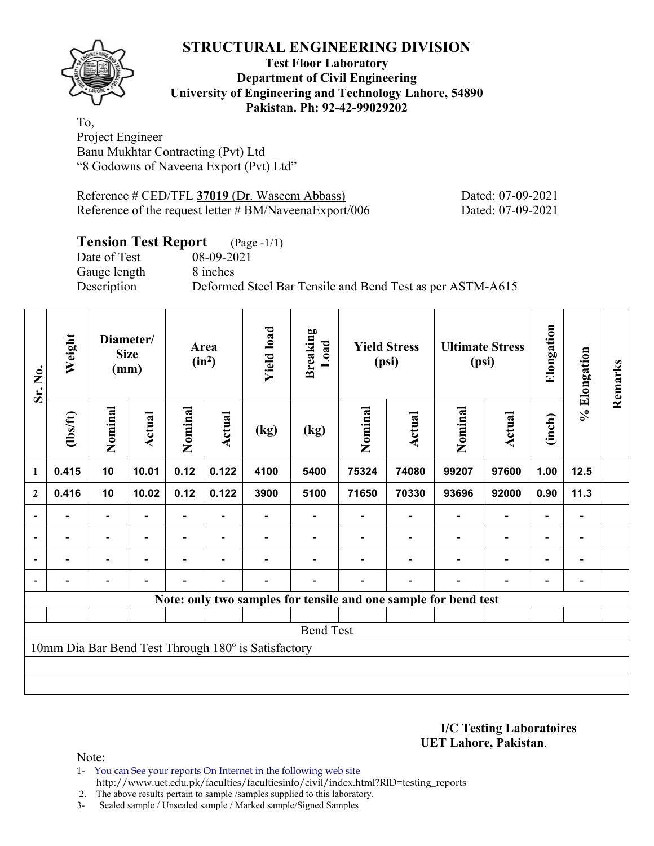

### **Test Floor Laboratory Department of Civil Engineering University of Engineering and Technology Lahore, 54890 Pakistan. Ph: 92-42-99029202**

To, Project Engineer Banu Mukhtar Contracting (Pvt) Ltd "8 Godowns of Naveena Export (Pvt) Ltd"

Reference # CED/TFL **37019** (Dr. Waseem Abbass) Dated: 07-09-2021 Reference of the request letter # BM/NaveenaExport/006 Dated: 07-09-2021

# **Tension Test Report** (Page -1/1)

Gauge length 8 inches

Date of Test 08-09-2021 Description Deformed Steel Bar Tensile and Bend Test as per ASTM-A615

| Sr. No.        | Weight                                                          | Diameter/<br><b>Size</b><br>(mm) |                          | Area<br>$(in^2)$         |                          | <b>Yield load</b> | <b>Breaking</b><br>Load | <b>Yield Stress</b><br>(psi) |                          | <b>Ultimate Stress</b><br>(psi) |                          | Elongation               | % Elongation             | Remarks |
|----------------|-----------------------------------------------------------------|----------------------------------|--------------------------|--------------------------|--------------------------|-------------------|-------------------------|------------------------------|--------------------------|---------------------------------|--------------------------|--------------------------|--------------------------|---------|
|                | (1bs/ft)                                                        | Nominal                          | Actual                   | Nominal                  | Actual                   | (kg)              | (kg)                    | Nominal                      | Actual                   | Nominal                         | <b>Actual</b>            | (inch)                   |                          |         |
| $\mathbf{1}$   | 0.415                                                           | 10                               | 10.01                    | 0.12                     | 0.122                    | 4100              | 5400                    | 75324                        | 74080                    | 99207                           | 97600                    | 1.00                     | 12.5                     |         |
| $\mathbf{2}$   | 0.416                                                           | 10                               | 10.02                    | 0.12                     | 0.122                    | 3900              | 5100                    | 71650                        | 70330                    | 93696                           | 92000                    | 0.90                     | 11.3                     |         |
| $\overline{a}$ | $\overline{\phantom{0}}$                                        | $\blacksquare$                   | $\overline{\phantom{0}}$ |                          | $\blacksquare$           |                   |                         | $\blacksquare$               | $\blacksquare$           | $\qquad \qquad \blacksquare$    | $\blacksquare$           | $\overline{\phantom{a}}$ | $\overline{\phantom{a}}$ |         |
| $\blacksquare$ | Ξ.                                                              | $\overline{\phantom{a}}$         | $\blacksquare$           |                          | $\blacksquare$           |                   |                         | $\blacksquare$               | $\blacksquare$           | $\overline{\phantom{0}}$        | Ξ.                       | $\overline{\phantom{a}}$ | $\blacksquare$           |         |
|                | $\overline{\phantom{0}}$                                        | $\overline{\phantom{0}}$         | ۰                        | $\overline{\phantom{0}}$ | $\overline{\phantom{0}}$ |                   |                         | -                            | $\overline{\phantom{0}}$ | $\overline{\phantom{0}}$        | $\overline{\phantom{0}}$ | $\overline{\phantom{a}}$ | $\overline{\phantom{a}}$ |         |
|                |                                                                 | $\overline{\phantom{0}}$         |                          |                          | $\overline{\phantom{0}}$ |                   |                         |                              | $\blacksquare$           |                                 | $\blacksquare$           | $\overline{\phantom{a}}$ | $\overline{\phantom{a}}$ |         |
|                | Note: only two samples for tensile and one sample for bend test |                                  |                          |                          |                          |                   |                         |                              |                          |                                 |                          |                          |                          |         |
|                |                                                                 |                                  |                          |                          |                          |                   |                         |                              |                          |                                 |                          |                          |                          |         |
|                |                                                                 |                                  |                          |                          |                          |                   | <b>Bend Test</b>        |                              |                          |                                 |                          |                          |                          |         |
|                | 10mm Dia Bar Bend Test Through 180° is Satisfactory             |                                  |                          |                          |                          |                   |                         |                              |                          |                                 |                          |                          |                          |         |
|                |                                                                 |                                  |                          |                          |                          |                   |                         |                              |                          |                                 |                          |                          |                          |         |
|                |                                                                 |                                  |                          |                          |                          |                   |                         |                              |                          |                                 |                          |                          |                          |         |

**I/C Testing Laboratoires UET Lahore, Pakistan**.

- 1- You can See your reports On Internet in the following web site http://www.uet.edu.pk/faculties/facultiesinfo/civil/index.html?RID=testing\_reports
- 2. The above results pertain to sample /samples supplied to this laboratory.
- 3- Sealed sample / Unsealed sample / Marked sample/Signed Samples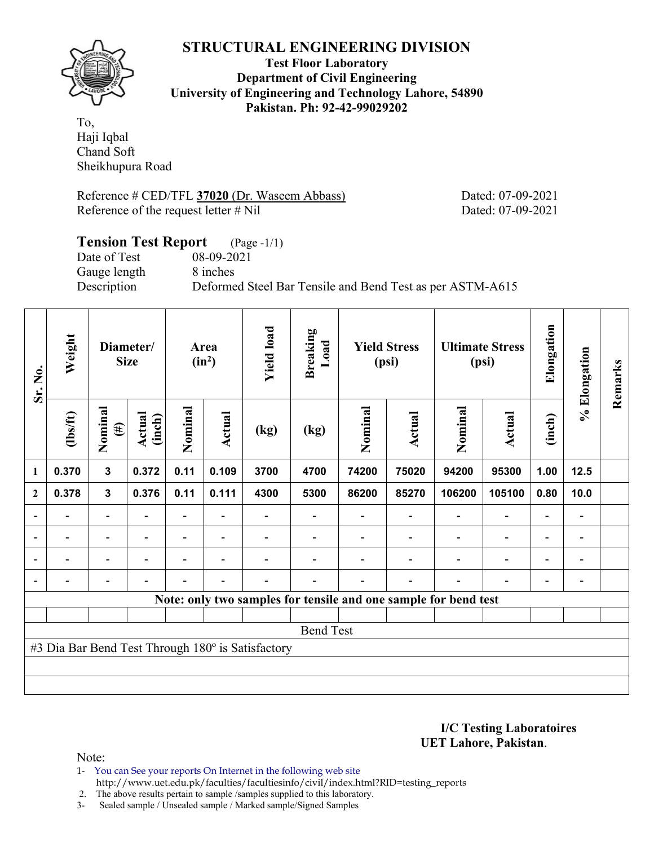

**Test Floor Laboratory Department of Civil Engineering University of Engineering and Technology Lahore, 54890 Pakistan. Ph: 92-42-99029202** 

To, Haji Iqbal Chand Soft Sheikhupura Road

Reference # CED/TFL **37020** (Dr. Waseem Abbass) Dated: 07-09-2021 Reference of the request letter # Nil Dated: 07-09-2021

# **Tension Test Report** (Page -1/1) Date of Test 08-09-2021 Gauge length 8 inches Description Deformed Steel Bar Tensile and Bend Test as per ASTM-A615

| Sr. No.                                           | Weight                                                          | Diameter/<br><b>Size</b> |                          | Area<br>$(in^2)$ |                          | <b>Yield load</b> | <b>Breaking</b><br>Load | <b>Yield Stress</b><br>(psi) |        | <b>Ultimate Stress</b><br>(psi) |                          | Elongation               | % Elongation                 | Remarks |
|---------------------------------------------------|-----------------------------------------------------------------|--------------------------|--------------------------|------------------|--------------------------|-------------------|-------------------------|------------------------------|--------|---------------------------------|--------------------------|--------------------------|------------------------------|---------|
|                                                   | (1bs/ft)                                                        | Nominal<br>$(\#)$        | <b>Actual</b><br>(inch)  | Nominal          | Actual                   | (kg)              | (kg)                    | Nominal                      | Actual | Nominal                         | Actual                   | (inch)                   |                              |         |
| 1                                                 | 0.370                                                           | $\mathbf{3}$             | 0.372                    | 0.11             | 0.109                    | 3700              | 4700                    | 74200                        | 75020  | 94200                           | 95300                    | 1.00                     | 12.5                         |         |
| $\mathbf{2}$                                      | 0.378                                                           | $\mathbf{3}$             | 0.376                    | 0.11             | 0.111                    | 4300              | 5300                    | 86200                        | 85270  | 106200                          | 105100                   | 0.80                     | 10.0                         |         |
|                                                   |                                                                 | $\overline{a}$           |                          |                  |                          |                   |                         |                              |        |                                 | $\overline{\phantom{0}}$ | $\overline{\phantom{0}}$ |                              |         |
| $\blacksquare$                                    |                                                                 | $\blacksquare$           | $\blacksquare$           |                  | $\overline{\phantom{0}}$ |                   |                         |                              |        |                                 | $\overline{\phantom{a}}$ | $\overline{\phantom{a}}$ |                              |         |
|                                                   | -                                                               | $\overline{\phantom{0}}$ |                          |                  | $\overline{\phantom{0}}$ |                   |                         |                              |        |                                 | $\overline{\phantom{0}}$ | $\overline{\phantom{0}}$ | $\qquad \qquad \blacksquare$ |         |
|                                                   |                                                                 | $\overline{\phantom{0}}$ | $\overline{\phantom{0}}$ |                  | $\blacksquare$           |                   |                         |                              |        |                                 | $\overline{a}$           | $\overline{\phantom{0}}$ |                              |         |
|                                                   | Note: only two samples for tensile and one sample for bend test |                          |                          |                  |                          |                   |                         |                              |        |                                 |                          |                          |                              |         |
|                                                   |                                                                 |                          |                          |                  |                          |                   |                         |                              |        |                                 |                          |                          |                              |         |
| <b>Bend Test</b>                                  |                                                                 |                          |                          |                  |                          |                   |                         |                              |        |                                 |                          |                          |                              |         |
| #3 Dia Bar Bend Test Through 180° is Satisfactory |                                                                 |                          |                          |                  |                          |                   |                         |                              |        |                                 |                          |                          |                              |         |
|                                                   |                                                                 |                          |                          |                  |                          |                   |                         |                              |        |                                 |                          |                          |                              |         |
|                                                   |                                                                 |                          |                          |                  |                          |                   |                         |                              |        |                                 |                          |                          |                              |         |

**I/C Testing Laboratoires UET Lahore, Pakistan**.

Note:

1- You can See your reports On Internet in the following web site http://www.uet.edu.pk/faculties/facultiesinfo/civil/index.html?RID=testing\_reports

2. The above results pertain to sample /samples supplied to this laboratory.